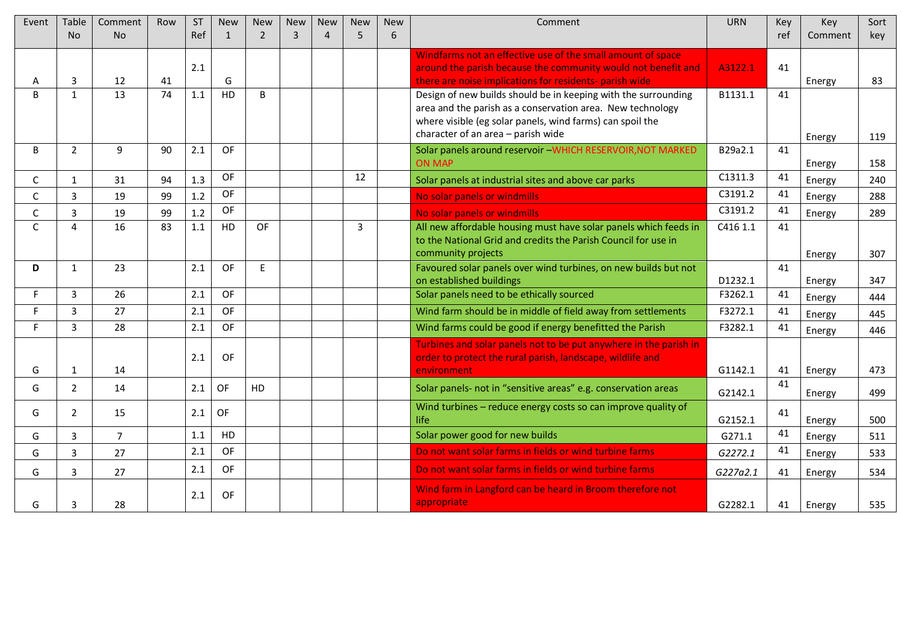| Event        | Table          | Comment     | Row             | <b>ST</b> | <b>New</b>   | <b>New</b>     | <b>New</b>     | <b>New</b>     | <b>New</b> | <b>New</b> | Comment                                                                                     | <b>URN</b> | Key      | Key     | Sort |
|--------------|----------------|-------------|-----------------|-----------|--------------|----------------|----------------|----------------|------------|------------|---------------------------------------------------------------------------------------------|------------|----------|---------|------|
|              | N <sub>o</sub> | <b>No</b>   |                 | Ref       | $\mathbf{1}$ | $\overline{2}$ | $\overline{3}$ | $\overline{4}$ | 5          | 6          |                                                                                             |            | ref      | Comment | key  |
|              |                |             |                 |           |              |                |                |                |            |            | Windfarms not an effective use of the small amount of space                                 |            |          |         |      |
|              |                |             |                 | 2.1       |              |                |                |                |            |            | around the parish because the community would not benefit and                               | A3122.1    | 41       |         |      |
| А            | 3              | 12          | 41              |           | G            |                |                |                |            |            | there are noise implications for residents- parish wide                                     |            |          | Energy  | 83   |
| R            | $\mathbf{1}$   | 13          | 74              | 1.1       | <b>HD</b>    | B              |                |                |            |            | Design of new builds should be in keeping with the surrounding                              | B1131.1    | 41       |         |      |
|              |                |             |                 |           |              |                |                |                |            |            | area and the parish as a conservation area. New technology                                  |            |          |         |      |
|              |                |             |                 |           |              |                |                |                |            |            | where visible (eg solar panels, wind farms) can spoil the                                   |            |          |         |      |
|              |                |             |                 |           |              |                |                |                |            |            | character of an area - parish wide                                                          |            |          | Energy  | 119  |
| B.           | $\overline{2}$ | 9           | 90              | 2.1       | OF           |                |                |                |            |            | Solar panels around reservoir -WHICH RESERVOIR, NOT MARKED                                  | B29a2.1    | 41       |         |      |
|              |                |             |                 |           | <b>OF</b>    |                |                |                | 12         |            | <b>ON MAP</b>                                                                               | C1311.3    | 41       | Energy  | 158  |
| C            | $\mathbf{1}$   | 31          | 94              | 1.3       |              |                |                |                |            |            | Solar panels at industrial sites and above car parks                                        |            |          | Energy  | 240  |
| Ċ            | $\overline{3}$ | 19          | 99              | 1.2       | OF           |                |                |                |            |            | No solar panels or windmills                                                                | C3191.2    | 41       | Energy  | 288  |
| $\mathsf{C}$ | $\mathbf{3}$   | 19          | 99              | 1.2       | OF           |                |                |                |            |            | No solar panels or windmills                                                                | C3191.2    | 41       | Energy  | 289  |
| $\mathsf{C}$ | $\overline{4}$ | 16          | $\overline{83}$ | 1.1       | <b>HD</b>    | <b>OF</b>      |                |                | 3          |            | All new affordable housing must have solar panels which feeds in                            | C416 1.1   | 41       |         |      |
|              |                |             |                 |           |              |                |                |                |            |            | to the National Grid and credits the Parish Council for use in                              |            |          |         |      |
|              |                |             |                 |           |              |                |                |                |            |            | community projects                                                                          |            |          | Energy  | 307  |
| D            | 1              | 23          |                 | 2.1       | OF           | E              |                |                |            |            | Favoured solar panels over wind turbines, on new builds but not<br>on established buildings | D1232.1    | 41       |         | 347  |
| F.           | 3              | 26          |                 | 2.1       | 0F           |                |                |                |            |            | Solar panels need to be ethically sourced                                                   | F3262.1    | 41       | Energy  |      |
| F.           | $\overline{3}$ |             |                 |           |              |                |                |                |            |            |                                                                                             |            |          | Energy  | 444  |
|              |                | 27          |                 | 2.1       | OF           |                |                |                |            |            | Wind farm should be in middle of field away from settlements                                | F3272.1    | 41       | Energy  | 445  |
| F.           | $\overline{3}$ | 28          |                 | 2.1       | OF           |                |                |                |            |            | Wind farms could be good if energy benefitted the Parish                                    | F3282.1    | 41       | Energy  | 446  |
|              |                |             |                 |           |              |                |                |                |            |            | Turbines and solar panels not to be put anywhere in the parish in                           |            |          |         |      |
|              |                |             |                 | 2.1       | OF           |                |                |                |            |            | order to protect the rural parish, landscape, wildlife and                                  |            |          |         |      |
| G            | $\mathbf{1}$   | 14          |                 |           |              |                |                |                |            |            | environment                                                                                 | G1142.1    | 41<br>41 | Energy  | 473  |
| G            | $\overline{2}$ | 14          |                 | 2.1       | OF           | HD             |                |                |            |            | Solar panels- not in "sensitive areas" e.g. conservation areas                              | G2142.1    |          | Energy  | 499  |
| G            | $\overline{2}$ | 15          |                 | 2.1       | <b>OF</b>    |                |                |                |            |            | Wind turbines - reduce energy costs so can improve quality of                               |            | 41       |         |      |
|              |                |             |                 |           |              |                |                |                |            |            | life                                                                                        | G2152.1    |          | Energy  | 500  |
| G            | 3              | $7^{\circ}$ |                 | 1.1       | <b>HD</b>    |                |                |                |            |            | Solar power good for new builds                                                             | G271.1     | 41       | Energy  | 511  |
| G            | $\overline{3}$ | 27          |                 | 2.1       | OF           |                |                |                |            |            | Do not want solar farms in fields or wind turbine farms                                     | G2272.1    | 41       | Energy  | 533  |
| G            | 3              | 27          |                 | 2.1       | OF           |                |                |                |            |            | Do not want solar farms in fields or wind turbine farms                                     | G227a2.1   | 41       | Energy  | 534  |
|              |                |             |                 |           |              |                |                |                |            |            | Wind farm in Langford can be heard in Broom therefore not                                   |            |          |         |      |
| G            | 3              | 28          |                 | 2.1       | OF           |                |                |                |            |            | appropriate                                                                                 | G2282.1    | 41       | Energy  | 535  |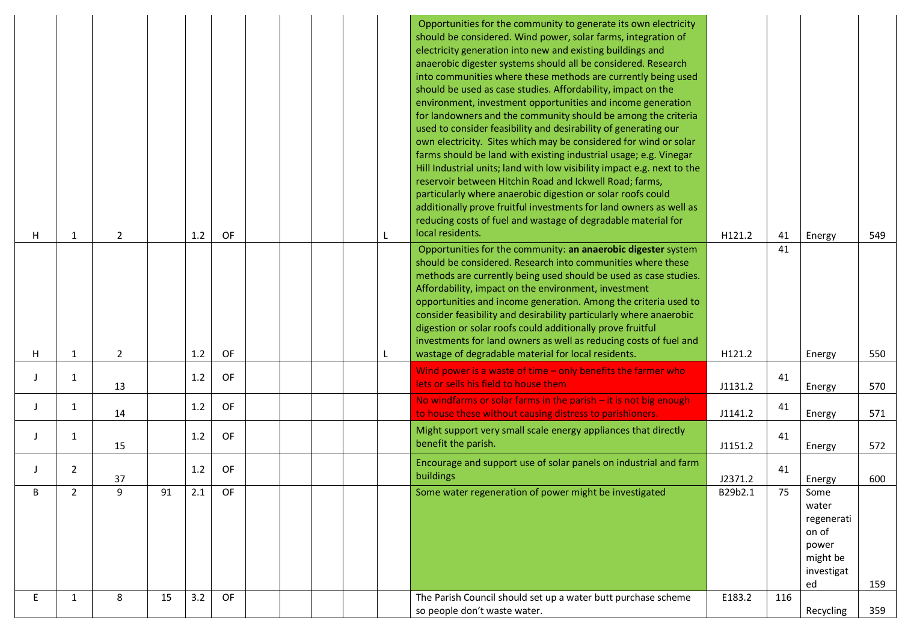| H  | -1             | $\overline{2}$ |    | 1.2 | OF |  |  | Opportunities for the community to generate its own electricity<br>should be considered. Wind power, solar farms, integration of<br>electricity generation into new and existing buildings and<br>anaerobic digester systems should all be considered. Research<br>into communities where these methods are currently being used<br>should be used as case studies. Affordability, impact on the<br>environment, investment opportunities and income generation<br>for landowners and the community should be among the criteria<br>used to consider feasibility and desirability of generating our<br>own electricity. Sites which may be considered for wind or solar<br>farms should be land with existing industrial usage; e.g. Vinegar<br>Hill Industrial units; land with low visibility impact e.g. next to the<br>reservoir between Hitchin Road and Ickwell Road; farms,<br>particularly where anaerobic digestion or solar roofs could<br>additionally prove fruitful investments for land owners as well as<br>reducing costs of fuel and wastage of degradable material for<br>local residents. | H121.2  | 41  | Energy                                                                        | 549 |
|----|----------------|----------------|----|-----|----|--|--|--------------------------------------------------------------------------------------------------------------------------------------------------------------------------------------------------------------------------------------------------------------------------------------------------------------------------------------------------------------------------------------------------------------------------------------------------------------------------------------------------------------------------------------------------------------------------------------------------------------------------------------------------------------------------------------------------------------------------------------------------------------------------------------------------------------------------------------------------------------------------------------------------------------------------------------------------------------------------------------------------------------------------------------------------------------------------------------------------------------|---------|-----|-------------------------------------------------------------------------------|-----|
|    |                |                |    |     |    |  |  | Opportunities for the community: an anaerobic digester system                                                                                                                                                                                                                                                                                                                                                                                                                                                                                                                                                                                                                                                                                                                                                                                                                                                                                                                                                                                                                                                |         | 41  |                                                                               |     |
|    |                |                |    |     |    |  |  | should be considered. Research into communities where these<br>methods are currently being used should be used as case studies.<br>Affordability, impact on the environment, investment<br>opportunities and income generation. Among the criteria used to<br>consider feasibility and desirability particularly where anaerobic<br>digestion or solar roofs could additionally prove fruitful<br>investments for land owners as well as reducing costs of fuel and                                                                                                                                                                                                                                                                                                                                                                                                                                                                                                                                                                                                                                          |         |     |                                                                               |     |
| H  | 1              | $\overline{2}$ |    | 1.2 | OF |  |  | wastage of degradable material for local residents.                                                                                                                                                                                                                                                                                                                                                                                                                                                                                                                                                                                                                                                                                                                                                                                                                                                                                                                                                                                                                                                          | H121.2  |     | Energy                                                                        | 550 |
|    | 1              | 13             |    | 1.2 | OF |  |  | Wind power is a waste of time $-$ only benefits the farmer who<br>lets or sells his field to house them                                                                                                                                                                                                                                                                                                                                                                                                                                                                                                                                                                                                                                                                                                                                                                                                                                                                                                                                                                                                      | J1131.2 | 41  | Energy                                                                        | 570 |
|    | $\mathbf{1}$   | 14             |    | 1.2 | OF |  |  | No windfarms or solar farms in the parish $-$ it is not big enough<br>to house these without causing distress to parishioners.                                                                                                                                                                                                                                                                                                                                                                                                                                                                                                                                                                                                                                                                                                                                                                                                                                                                                                                                                                               | J1141.2 | 41  | Energy                                                                        | 571 |
|    | 1              | 15             |    | 1.2 | OF |  |  | Might support very small scale energy appliances that directly<br>benefit the parish.                                                                                                                                                                                                                                                                                                                                                                                                                                                                                                                                                                                                                                                                                                                                                                                                                                                                                                                                                                                                                        | J1151.2 | 41  | Energy                                                                        | 572 |
|    | $\overline{2}$ | 37             |    | 1.2 | OF |  |  | Encourage and support use of solar panels on industrial and farm<br>buildings                                                                                                                                                                                                                                                                                                                                                                                                                                                                                                                                                                                                                                                                                                                                                                                                                                                                                                                                                                                                                                | J2371.2 | 41  | Energy                                                                        | 600 |
| R  | $\overline{2}$ | $\mathsf{q}$   | 91 | 2.1 | OF |  |  | Some water regeneration of power might be investigated                                                                                                                                                                                                                                                                                                                                                                                                                                                                                                                                                                                                                                                                                                                                                                                                                                                                                                                                                                                                                                                       | B29b2.1 | 75  | Some<br>water<br>regenerati<br>on of<br>power<br>might be<br>investigat<br>ed | 159 |
| E. | $\mathbf{1}$   | 8              | 15 | 3.2 | OF |  |  | The Parish Council should set up a water butt purchase scheme<br>so people don't waste water.                                                                                                                                                                                                                                                                                                                                                                                                                                                                                                                                                                                                                                                                                                                                                                                                                                                                                                                                                                                                                | E183.2  | 116 | Recycling                                                                     | 359 |